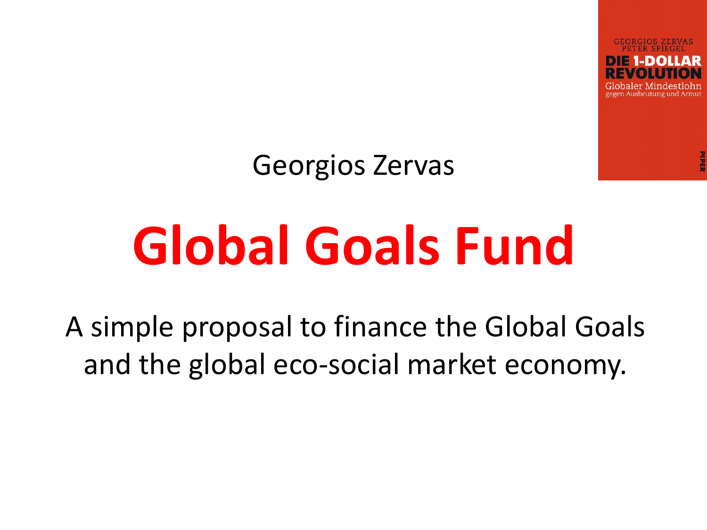gegen Ausbeutung und Armut

Georgios Zervas

## **Global Goals Fund**

A simple proposal to finance the Global Goals and the global eco-social market economy.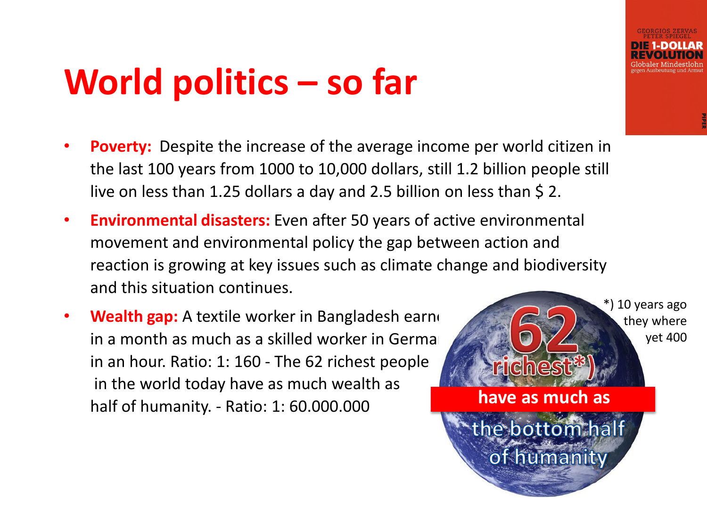#### **World politics – so far**

- **Poverty:** Despite the increase of the average income per world citizen in the last 100 years from 1000 to 10,000 dollars, still 1.2 billion people still live on less than 1.25 dollars a day and 2.5 billion on less than \$2.
- **Environmental disasters:** Even after 50 years of active environmental movement and environmental policy the gap between action and reaction is growing at key issues such as climate change and biodiversity and this situation continues.
- **Wealth gap:** A textile worker in Bangladesh earned in a month as much as a skilled worker in German in an hour. Ratio: 1: 160 - The 62 richest people in the world today have as much wealth as half of humanity. - Ratio: 1: 60.000.000 **have as much as**

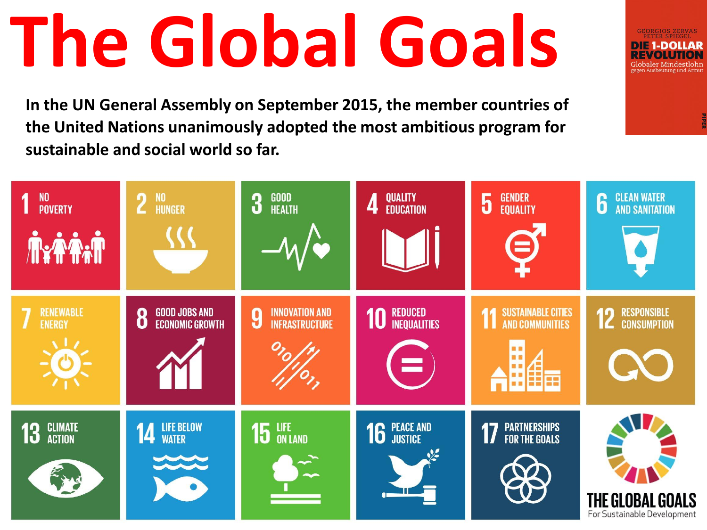# **The Global Goals**

**In the UN General Assembly on September 2015, the member countries of the United Nations unanimously adopted the most ambitious program for sustainable and social world so far.**

| <b>NO</b><br><b>POVERTY</b><br><b>YAA.T</b> | <b>NO</b><br>$\overline{2}$<br><b>HUNGER</b>        | <b>GOOD<br/>HEALTH</b><br>3                         | QUALITY<br>EDUCATION<br>4            | <b>GENDER</b><br>$\overline{5}$<br><b>EQUALITY</b><br>3                        | <b>CLEAN WATER</b><br>$\bf{6}$<br><b>AND SANITATION</b> |
|---------------------------------------------|-----------------------------------------------------|-----------------------------------------------------|--------------------------------------|--------------------------------------------------------------------------------|---------------------------------------------------------|
| <b>RENEWABLE</b><br><b>ENERGY</b>           | <b>GOOD JOBS AND</b><br>8<br><b>ECONOMIC GROWTH</b> | <b>INNOVATION AND</b><br>9<br><b>INFRASTRUCTURE</b> | <b>10 REDUCED</b><br>Ξ               | <b>SUSTAINABLE CITIES</b><br>11<br><b>AND COMMUNITIES</b><br><b>M H</b><br>用自亩 | <b>RESPONSIBLE</b><br>12<br><b>CONSUMPTION</b>          |
| <b>CLIMATE</b><br><b>ACTION</b><br>13       | LIFE BELOW<br>WATER<br>14<br>$\sim$                 | 15 LIFE                                             | <b>16 PEACE AND</b><br>$\frac{1}{2}$ | <b>PARTNERSHIPS<br/>For the Goals</b>                                          | THE GLOBAL GOALS<br>For Sustainable Development         |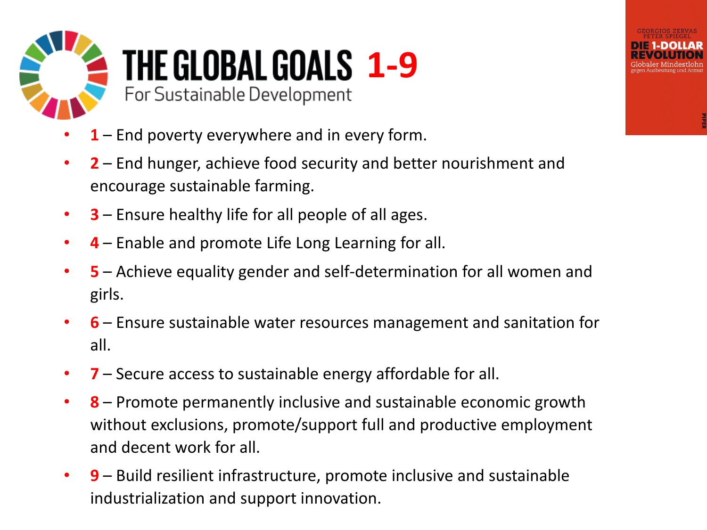

- **1** End poverty everywhere and in every form.
- **2** End hunger, achieve food security and better nourishment and encourage sustainable farming.
- **3** Ensure healthy life for all people of all ages.
- **4** Enable and promote Life Long Learning for all.
- **5** Achieve equality gender and self-determination for all women and girls.
- **6**  Ensure sustainable water resources management and sanitation for all.
- **7** Secure access to sustainable energy affordable for all.
- **8** Promote permanently inclusive and sustainable economic growth without exclusions, promote/support full and productive employment and decent work for all.
- **9** Build resilient infrastructure, promote inclusive and sustainable industrialization and support innovation.

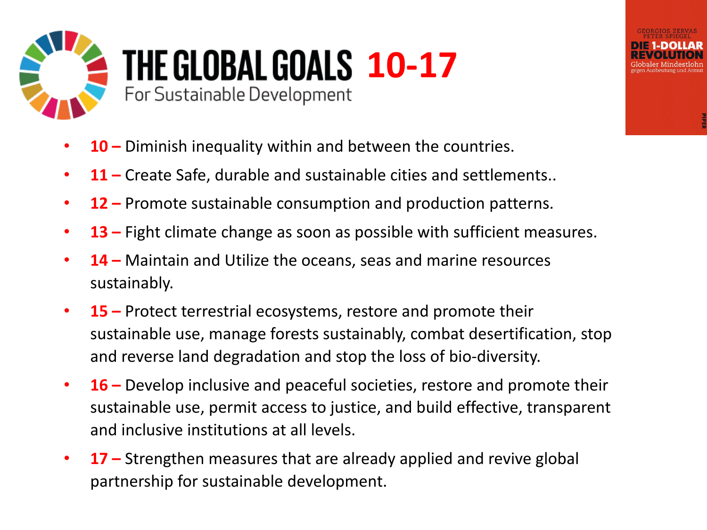

#### **THE GLOBAL GOALS 10-17** For Sustainable Development

- **10 –** Diminish inequality within and between the countries.
- **11 –** Create Safe, durable and sustainable cities and settlements..
- **12 –** Promote sustainable consumption and production patterns.
- **13 –** Fight climate change as soon as possible with sufficient measures.
- **14 –** Maintain and Utilize the oceans, seas and marine resources sustainably.
- **15 –** Protect terrestrial ecosystems, restore and promote their sustainable use, manage forests sustainably, combat desertification, stop and reverse land degradation and stop the loss of bio-diversity.
- **16 –** Develop inclusive and peaceful societies, restore and promote their sustainable use, permit access to justice, and build effective, transparent and inclusive institutions at all levels.
- **17 –** Strengthen measures that are already applied and revive global partnership for sustainable development.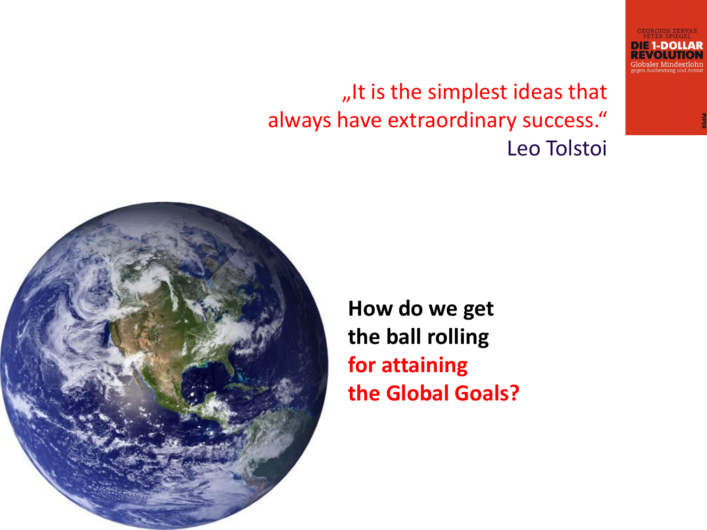"It is the simplest ideas that always have extraordinary success." Leo Tolstoi  $\triangleright$   $\square$  1-DOLLAR



**How do we get the ball rolling for attaining the Global Goals?**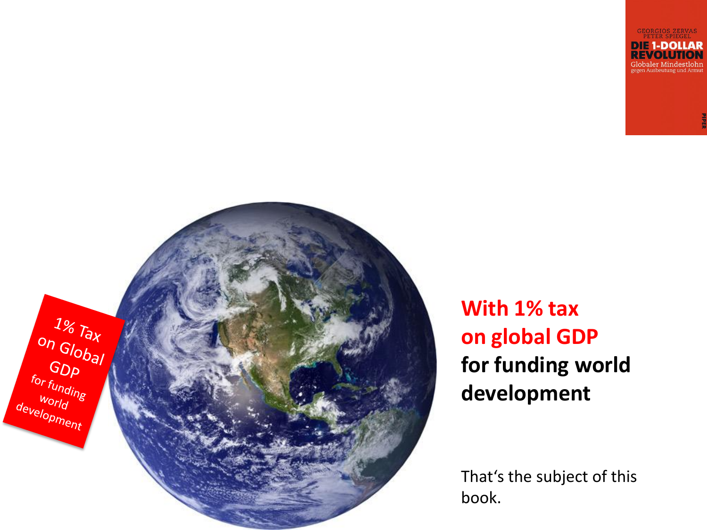**DIE 1-DOLLAR REVOLUTION Globaler Mindestlohn** 



**With 1% tax on global GDP for funding world development**

That's the subject of this book.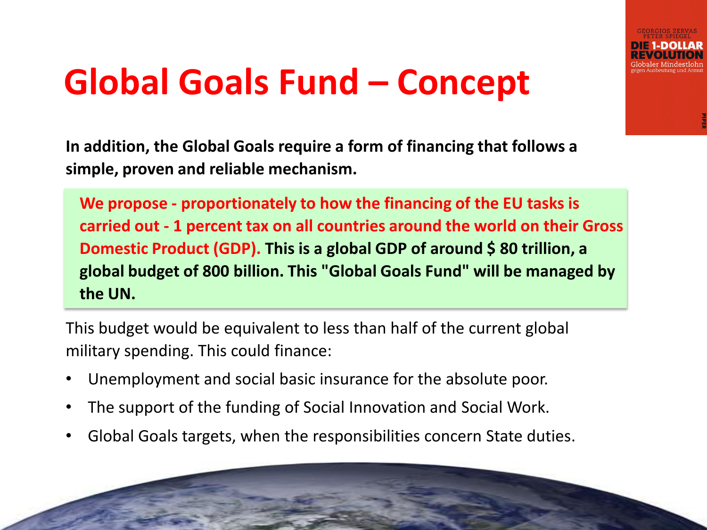

### **Global Goals Fund – Concept**

**In addition, the Global Goals require a form of financing that follows a simple, proven and reliable mechanism.**

**We propose - proportionately to how the financing of the EU tasks is carried out - 1 percent tax on all countries around the world on their Gross Domestic Product (GDP). This is a global GDP of around \$ 80 trillion, a global budget of 800 billion. This "Global Goals Fund" will be managed by the UN.**

This budget would be equivalent to less than half of the current global military spending. This could finance:

- Unemployment and social basic insurance for the absolute poor.
- The support of the funding of Social Innovation and Social Work.
- Global Goals targets, when the responsibilities concern State duties.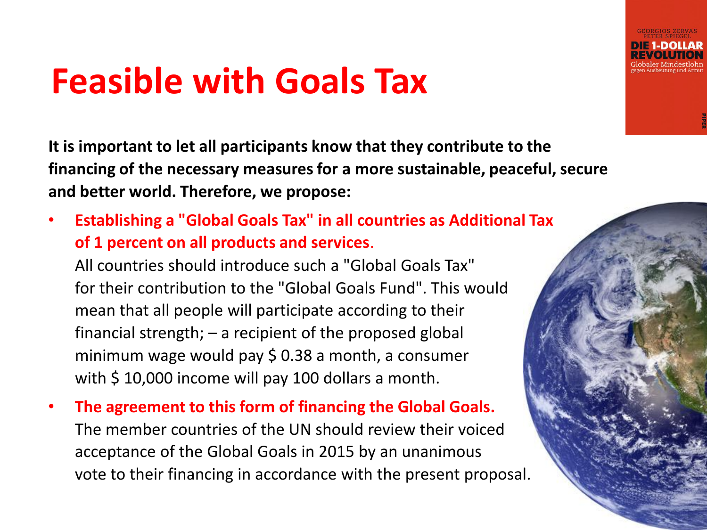#### **Feasible with Goals Tax**

**It is important to let all participants know that they contribute to the financing of the necessary measures for a more sustainable, peaceful, secure and better world. Therefore, we propose:**

• **Establishing a "Global Goals Tax" in all countries as Additional Tax of 1 percent on all products and services**.

All countries should introduce such a "Global Goals Tax" for their contribution to the "Global Goals Fund". This would mean that all people will participate according to their financial strength; – a recipient of the proposed global minimum wage would pay \$ 0.38 a month, a consumer with \$10,000 income will pay 100 dollars a month.

• **The agreement to this form of financing the Global Goals.** The member countries of the UN should review their voiced acceptance of the Global Goals in 2015 by an unanimous vote to their financing in accordance with the present proposal.

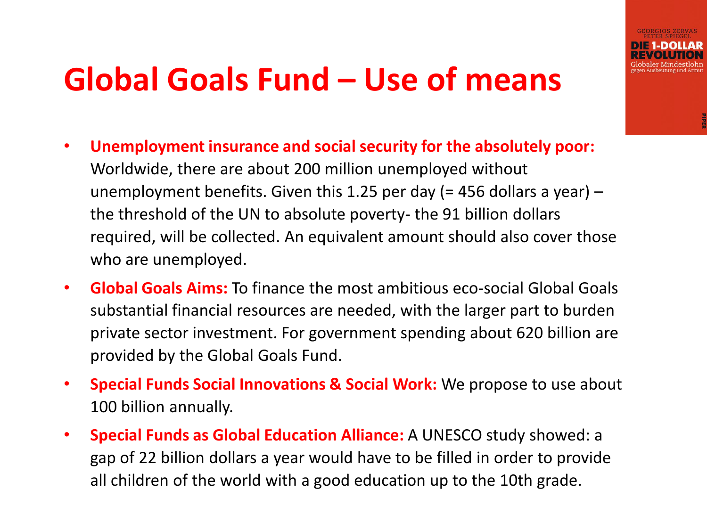#### **Global Goals Fund – Use of means**

- **Unemployment insurance and social security for the absolutely poor:**  Worldwide, there are about 200 million unemployed without unemployment benefits. Given this 1.25 per day (= 456 dollars a year)  $$ the threshold of the UN to absolute poverty- the 91 billion dollars required, will be collected. An equivalent amount should also cover those who are unemployed.
- **Global Goals Aims:** To finance the most ambitious eco-social Global Goals substantial financial resources are needed, with the larger part to burden private sector investment. For government spending about 620 billion are provided by the Global Goals Fund.
- **Special Funds Social Innovations & Social Work:** We propose to use about 100 billion annually.
- **Special Funds as Global Education Alliance:** A UNESCO study showed: a gap of 22 billion dollars a year would have to be filled in order to provide all children of the world with a good education up to the 10th grade.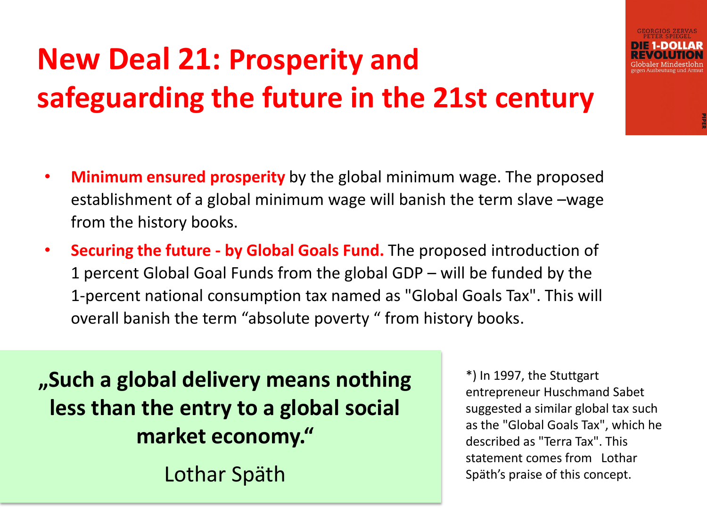#### **New Deal 21: Prosperity and safeguarding the future in the 21st century**

- **Minimum ensured prosperity** by the global minimum wage. The proposed establishment of a global minimum wage will banish the term slave –wage from the history books.
- **Securing the future - by Global Goals Fund.** The proposed introduction of 1 percent Global Goal Funds from the global GDP – will be funded by the 1-percent national consumption tax named as "Global Goals Tax". This will overall banish the term "absolute poverty " from history books.

**"Such a global delivery means nothing less than the entry to a global social market economy."** Lothar Späth

\*) In 1997, the Stuttgart entrepreneur Huschmand Sabet suggested a similar global tax such as the "Global Goals Tax", which he described as "Terra Tax". This statement comes from Lothar Späth's praise of this concept.